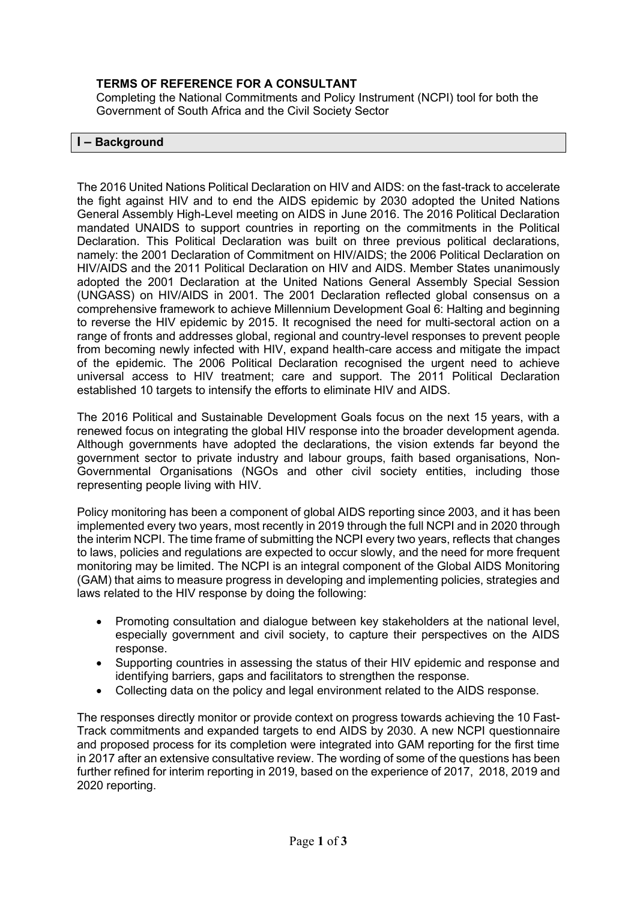# **TERMS OF REFERENCE FOR A CONSULTANT**

Completing the National Commitments and Policy Instrument (NCPI) tool for both the Government of South Africa and the Civil Society Sector

#### **I – Background**

The 2016 United Nations Political Declaration on HIV and AIDS: on the fast-track to accelerate the fight against HIV and to end the AIDS epidemic by 2030 adopted the United Nations General Assembly High-Level meeting on AIDS in June 2016. The 2016 Political Declaration mandated UNAIDS to support countries in reporting on the commitments in the Political Declaration. This Political Declaration was built on three previous political declarations, namely: the 2001 Declaration of Commitment on HIV/AIDS; the 2006 Political Declaration on HIV/AIDS and the 2011 Political Declaration on HIV and AIDS. Member States unanimously adopted the 2001 Declaration at the United Nations General Assembly Special Session (UNGASS) on HIV/AIDS in 2001. The 2001 Declaration reflected global consensus on a comprehensive framework to achieve Millennium Development Goal 6: Halting and beginning to reverse the HIV epidemic by 2015. It recognised the need for multi-sectoral action on a range of fronts and addresses global, regional and country-level responses to prevent people from becoming newly infected with HIV, expand health-care access and mitigate the impact of the epidemic. The 2006 Political Declaration recognised the urgent need to achieve universal access to HIV treatment; care and support. The 2011 Political Declaration established 10 targets to intensify the efforts to eliminate HIV and AIDS.

The 2016 Political and Sustainable Development Goals focus on the next 15 years, with a renewed focus on integrating the global HIV response into the broader development agenda. Although governments have adopted the declarations, the vision extends far beyond the government sector to private industry and labour groups, faith based organisations, Non-Governmental Organisations (NGOs and other civil society entities, including those representing people living with HIV.

Policy monitoring has been a component of global AIDS reporting since 2003, and it has been implemented every two years, most recently in 2019 through the full NCPI and in 2020 through the interim NCPI. The time frame of submitting the NCPI every two years, reflects that changes to laws, policies and regulations are expected to occur slowly, and the need for more frequent monitoring may be limited. The NCPI is an integral component of the Global AIDS Monitoring (GAM) that aims to measure progress in developing and implementing policies, strategies and laws related to the HIV response by doing the following:

- Promoting consultation and dialogue between key stakeholders at the national level, especially government and civil society, to capture their perspectives on the AIDS response.
- Supporting countries in assessing the status of their HIV epidemic and response and identifying barriers, gaps and facilitators to strengthen the response.
- Collecting data on the policy and legal environment related to the AIDS response.

The responses directly monitor or provide context on progress towards achieving the 10 Fast-Track commitments and expanded targets to end AIDS by 2030. A new NCPI questionnaire and proposed process for its completion were integrated into GAM reporting for the first time in 2017 after an extensive consultative review. The wording of some of the questions has been further refined for interim reporting in 2019, based on the experience of 2017, 2018, 2019 and 2020 reporting.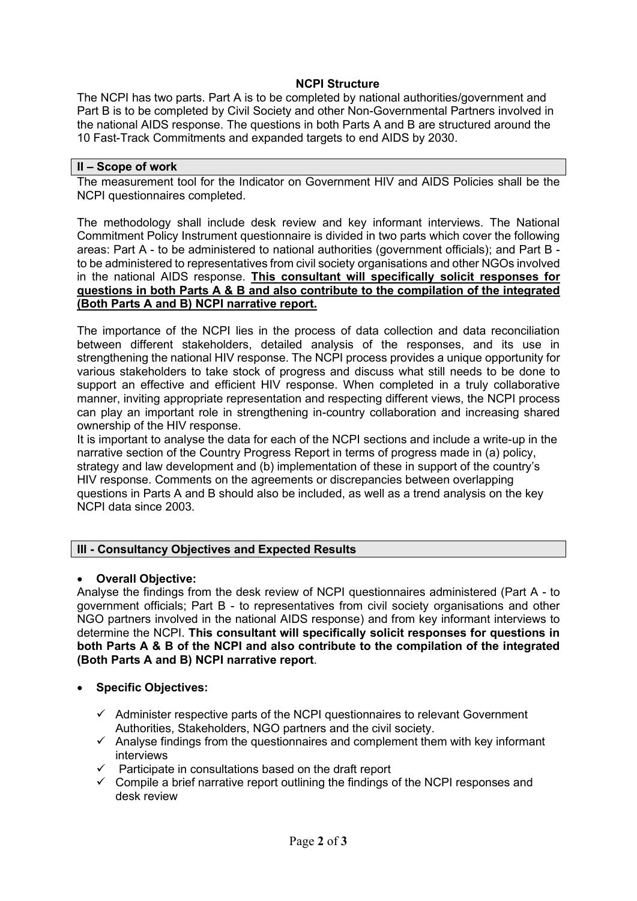### **NCPI Structure**

The NCPI has two parts. Part A is to be completed by national authorities/government and Part B is to be completed by Civil Society and other Non-Governmental Partners involved in the national AIDS response. The questions in both Parts A and B are structured around the 10 Fast-Track Commitments and expanded targets to end AIDS by 2030.

#### **II – Scope of work**

The measurement tool for the Indicator on Government HIV and AIDS Policies shall be the NCPI questionnaires completed.

The methodology shall include desk review and key informant interviews. The National Commitment Policy Instrument questionnaire is divided in two parts which cover the following areas: Part A - to be administered to national authorities (government officials); and Part B to be administered to representatives from civil society organisations and other NGOs involved in the national AIDS response. **This consultant will specifically solicit responses for questions in both Parts A & B and also contribute to the compilation of the integrated (Both Parts A and B) NCPI narrative report.** 

The importance of the NCPI lies in the process of data collection and data reconciliation between different stakeholders, detailed analysis of the responses, and its use in strengthening the national HIV response. The NCPI process provides a unique opportunity for various stakeholders to take stock of progress and discuss what still needs to be done to support an effective and efficient HIV response. When completed in a truly collaborative manner, inviting appropriate representation and respecting different views, the NCPI process can play an important role in strengthening in-country collaboration and increasing shared ownership of the HIV response.

It is important to analyse the data for each of the NCPI sections and include a write-up in the narrative section of the Country Progress Report in terms of progress made in (a) policy, strategy and law development and (b) implementation of these in support of the country's HIV response. Comments on the agreements or discrepancies between overlapping questions in Parts A and B should also be included, as well as a trend analysis on the key NCPI data since 2003.

### **III - Consultancy Objectives and Expected Results**

### • **Overall Objective:**

Analyse the findings from the desk review of NCPI questionnaires administered (Part A - to government officials; Part B - to representatives from civil society organisations and other NGO partners involved in the national AIDS response) and from key informant interviews to determine the NCPI. **This consultant will specifically solicit responses for questions in both Parts A & B of the NCPI and also contribute to the compilation of the integrated (Both Parts A and B) NCPI narrative report**.

### • **Specific Objectives:**

- $\checkmark$  Administer respective parts of the NCPI questionnaires to relevant Government Authorities, Stakeholders, NGO partners and the civil society.
- $\checkmark$  Analyse findings from the questionnaires and complement them with key informant interviews
- Participate in consultations based on the draft report
- $\checkmark$  Compile a brief narrative report outlining the findings of the NCPI responses and desk review